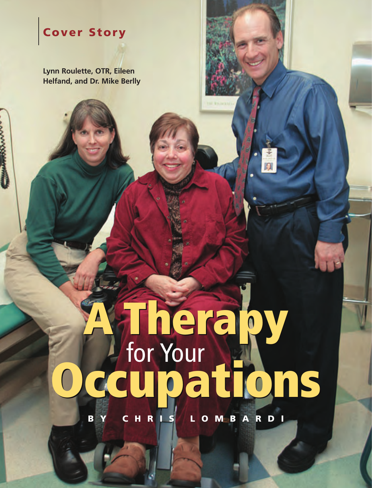# **Cover Story**

**Lynn Roulette, OTR, Eileen Helfand, and Dr. Mike Berlly**

# **A Therapy Occupations A Therapy** for Your **Occupations**

**BY CHRIS LOMBARDI**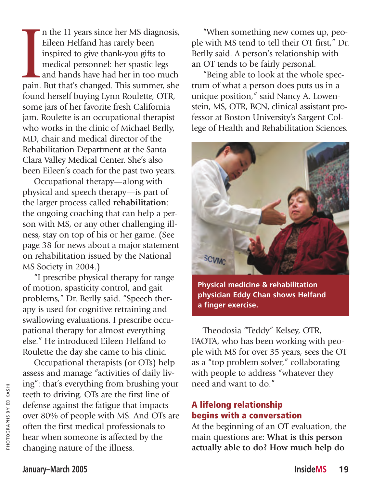pain. n the 11 years since her MS diagnosis, Eileen Helfand has rarely been inspired to give thank-you gifts to medical personnel: her spastic legs and hands have had her in too much pain. But that's changed. This summer, she found herself buying Lynn Roulette, OTR, some jars of her favorite fresh California jam. Roulette is an occupational therapist who works in the clinic of Michael Berlly, MD, chair and medical director of the Rehabilitation Department at the Santa Clara Valley Medical Center. She's also been Eileen's coach for the past two years.

Occupational therapy—along with physical and speech therapy—is part of the larger process called **rehabilitation**: the ongoing coaching that can help a person with MS, or any other challenging illness, stay on top of his or her game. (See page 38 for news about a major statement on rehabilitation issued by the National MS Society in 2004.)

"I prescribe physical therapy for range of motion, spasticity control, and gait problems," Dr. Berlly said. "Speech therapy is used for cognitive retraining and swallowing evaluations. I prescribe occupational therapy for almost everything else." He introduced Eileen Helfand to Roulette the day she came to his clinic.

Occupational therapists (or OTs) help assess and manage "activities of daily living": that's everything from brushing your teeth to driving. OTs are the first line of defense against the fatigue that impacts over 80% of people with MS. And OTs are often the first medical professionals to hear when someone is affected by the changing nature of the illness.

"When something new comes up, people with MS tend to tell their OT first," Dr. Berlly said. A person's relationship with an OT tends to be fairly personal.

"Being able to look at the whole spectrum of what a person does puts us in a unique position," said Nancy A. Lowenstein, MS, OTR, BCN, clinical assistant professor at Boston University's Sargent College of Health and Rehabilitation Sciences.



**Physical medicine & rehabilitation physician Eddy Chan shows Helfand a finger exercise.**

Theodosia "Teddy" Kelsey, OTR, FAOTA, who has been working with people with MS for over 35 years, sees the OT as a "top problem solver," collaborating with people to address "whatever they need and want to do."

## **A lifelong relationship begins with a conversation**

At the beginning of an OT evaluation, the main questions are: **What is this person actually able to do? How much help do**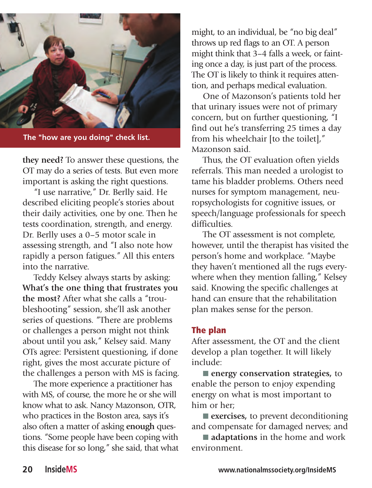

**The "how are you doing" check list.**

**they need?** To answer these questions, the OT may do a series of tests. But even more important is asking the right questions.

"I use narrative," Dr. Berlly said. He described eliciting people's stories about their daily activities, one by one. Then he tests coordination, strength, and energy. Dr. Berlly uses a 0–5 motor scale in assessing strength, and "I also note how rapidly a person fatigues." All this enters into the narrative.

Teddy Kelsey always starts by asking: **What's the one thing that frustrates you the most?** After what she calls a "troubleshooting" session, she'll ask another series of questions. "There are problems or challenges a person might not think about until you ask," Kelsey said. Many OTs agree: Persistent questioning, if done right, gives the most accurate picture of the challenges a person with MS is facing.

The more experience a practitioner has with MS, of course, the more he or she will know what to ask. Nancy Mazonson, OTR, who practices in the Boston area, says it's also often a matter of asking **enough** questions. "Some people have been coping with this disease for so long," she said, that what

might, to an individual, be "no big deal" throws up red flags to an OT. A person might think that 3–4 falls a week, or fainting once a day, is just part of the process. The OT is likely to think it requires attention, and perhaps medical evaluation.

One of Mazonson's patients told her that urinary issues were not of primary concern, but on further questioning, "I find out he's transferring 25 times a day from his wheelchair [to the toilet]," Mazonson said.

Thus, the OT evaluation often yields referrals. This man needed a urologist to tame his bladder problems. Others need nurses for symptom management, neuropsychologists for cognitive issues, or speech/language professionals for speech difficulties.

The OT assessment is not complete, however, until the therapist has visited the person's home and workplace. "Maybe they haven't mentioned all the rugs everywhere when they mention falling," Kelsey said. Knowing the specific challenges at hand can ensure that the rehabilitation plan makes sense for the person.

#### **The plan**

After assessment, the OT and the client develop a plan together. It will likely include:

■ **energy conservation strategies**, to enable the person to enjoy expending energy on what is most important to him or her;

■ **exercises**, to prevent deconditioning and compensate for damaged nerves; and

■ **adaptations** in the home and work environment.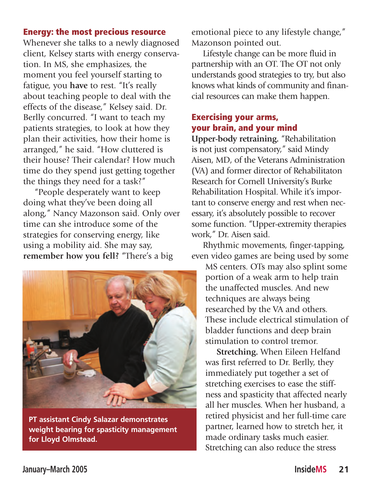#### **Energy: the most precious resource**

Whenever she talks to a newly diagnosed client, Kelsey starts with energy conservation. In MS, she emphasizes, the moment you feel yourself starting to fatigue, you **have** to rest. "It's really about teaching people to deal with the effects of the disease," Kelsey said. Dr. Berlly concurred. "I want to teach my patients strategies, to look at how they plan their activities, how their home is arranged," he said. "How cluttered is their house? Their calendar? How much time do they spend just getting together the things they need for a task?"

"People desperately want to keep doing what they've been doing all along," Nancy Mazonson said. Only over time can she introduce some of the strategies for conserving energy, like using a mobility aid. She may say, **remember how you fell?** "There's a big



**PT assistant Cindy Salazar demonstrates weight bearing for spasticity management for Lloyd Olmstead.**

emotional piece to any lifestyle change," Mazonson pointed out.

Lifestyle change can be more fluid in partnership with an OT. The OT not only understands good strategies to try, but also knows what kinds of community and financial resources can make them happen.

### **Exercising your arms, your brain, and your mind**

**Upper-body retraining.** "Rehabilitation is not just compensatory," said Mindy Aisen, MD, of the Veterans Administration (VA) and former director of Rehabilitaton Research for Cornell University's Burke Rehabilitation Hospital. While it's important to conserve energy and rest when necessary, it's absolutely possible to recover some function. "Upper-extremity therapies work," Dr. Aisen said.

Rhythmic movements, finger-tapping, even video games are being used by some

MS centers. OTs may also splint some portion of a weak arm to help train the unaffected muscles. And new techniques are always being researched by the VA and others. These include electrical stimulation of bladder functions and deep brain stimulation to control tremor.

**Stretching.** When Eileen Helfand was first referred to Dr. Berlly, they immediately put together a set of stretching exercises to ease the stiffness and spasticity that affected nearly all her muscles. When her husband, a retired physicist and her full-time care partner, learned how to stretch her, it made ordinary tasks much easier. Stretching can also reduce the stress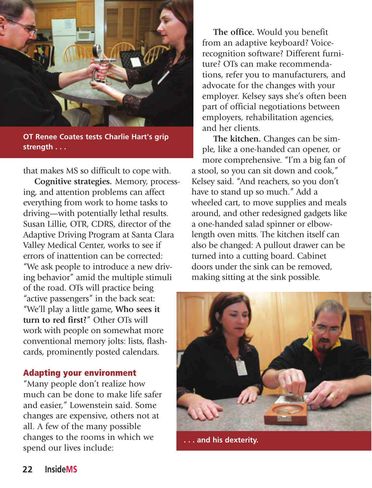

**OT Renee Coates tests Charlie Hart's grip strength . . .** 

that makes MS so difficult to cope with.

**Cognitive strategies***.* Memory, processing, and attention problems can affect everything from work to home tasks to driving—with potentially lethal results. Susan Lillie, OTR, CDRS, director of the Adaptive Driving Program at Santa Clara Valley Medical Center, works to see if errors of inattention can be corrected: "We ask people to introduce a new driving behavior" amid the multiple stimuli of the road. OTs will practice being "active passengers" in the back seat: "We'll play a little game, **Who sees it turn to red first?**" Other OTs will work with people on somewhat more conventional memory jolts: lists, flashcards, prominently posted calendars.

#### **Adapting your environment**

"Many people don't realize how much can be done to make life safer and easier," Lowenstein said. Some changes are expensive, others not at all. A few of the many possible changes to the rooms in which we spend our lives include:

**The office.** Would you benefit from an adaptive keyboard? Voicerecognition software? Different furniture? OTs can make recommendations, refer you to manufacturers, and advocate for the changes with your employer. Kelsey says she's often been part of official negotiations between employers, rehabilitation agencies, and her clients.

**The kitchen.** Changes can be simple, like a one-handed can opener, or more comprehensive. "I'm a big fan of a stool, so you can sit down and cook," Kelsey said. "And reachers, so you don't have to stand up so much." Add a wheeled cart, to move supplies and meals around, and other redesigned gadgets like a one-handed salad spinner or elbowlength oven mitts. The kitchen itself can also be changed: A pullout drawer can be turned into a cutting board. Cabinet doors under the sink can be removed, making sitting at the sink possible.



**. . . and his dexterity.**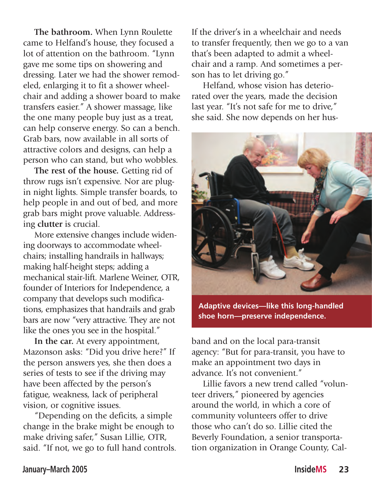**The bathroom.** When Lynn Roulette came to Helfand's house, they focused a lot of attention on the bathroom. "Lynn gave me some tips on showering and dressing. Later we had the shower remodeled, enlarging it to fit a shower wheelchair and adding a shower board to make transfers easier." A shower massage, like the one many people buy just as a treat, can help conserve energy. So can a bench. Grab bars, now available in all sorts of attractive colors and designs, can help a person who can stand, but who wobbles.

**The rest of the house.** Getting rid of throw rugs isn't expensive. Nor are plugin night lights. Simple transfer boards, to help people in and out of bed, and more grab bars might prove valuable. Addressing **clutter** is crucial.

More extensive changes include widening doorways to accommodate wheelchairs; installing handrails in hallways; making half-height steps; adding a mechanical stair-lift. Marlene Weiner, OTR, founder of Interiors for Independence, a company that develops such modifications, emphasizes that handrails and grab bars are now "very attractive. They are not like the ones you see in the hospital."

**In the car.** At every appointment, Mazonson asks: "Did you drive here?" If the person answers yes, she then does a series of tests to see if the driving may have been affected by the person's fatigue, weakness, lack of peripheral vision, or cognitive issues.

"Depending on the deficits, a simple change in the brake might be enough to make driving safer," Susan Lillie, OTR, said. "If not, we go to full hand controls.

If the driver's in a wheelchair and needs to transfer frequently, then we go to a van that's been adapted to admit a wheelchair and a ramp. And sometimes a person has to let driving go."

Helfand, whose vision has deteriorated over the years, made the decision last year. "It's not safe for me to drive," she said. She now depends on her hus-



**Adaptive devices—like this long-handled shoe horn—preserve independence.**

band and on the local para-transit agency: "But for para-transit, you have to make an appointment two days in advance. It's not convenient."

Lillie favors a new trend called "volunteer drivers," pioneered by agencies around the world, in which a core of community volunteers offer to drive those who can't do so. Lillie cited the Beverly Foundation, a senior transportation organization in Orange County, Cal-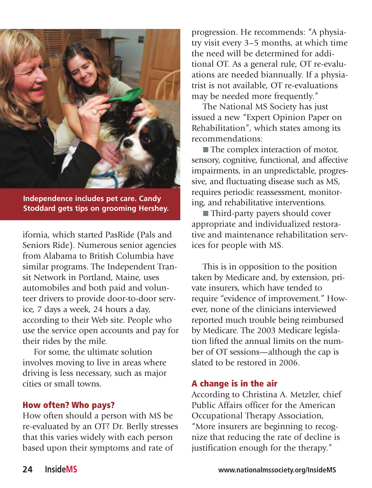

**Independence includes pet care. Candy Stoddard gets tips on grooming Hershey.**

ifornia, which started PasRide (Pals and Seniors Ride). Numerous senior agencies from Alabama to British Columbia have similar programs. The Independent Transit Network in Portland, Maine, uses automobiles and both paid and volunteer drivers to provide door-to-door service, 7 days a week, 24 hours a day, according to their Web site. People who use the service open accounts and pay for their rides by the mile.

For some, the ultimate solution involves moving to live in areas where driving is less necessary, such as major cities or small towns.

#### **How often? Who pays?**

How often should a person with MS be re-evaluated by an OT? Dr. Berlly stresses that this varies widely with each person based upon their symptoms and rate of

progression. He recommends: "A physiatry visit every 3–5 months, at which time the need will be determined for additional OT. As a general rule, OT re-evaluations are needed biannually. If a physiatrist is not available, OT re-evaluations may be needed more frequently."

The National MS Society has just issued a new "Expert Opinion Paper on Rehabilitation", which states among its recommendations:

■ The complex interaction of motor, sensory, cognitive, functional, and affective impairments, in an unpredictable, progressive, and fluctuating disease such as MS, requires periodic reassessment, monitoring, and rehabilitative interventions.

■ Third-party payers should cover appropriate and individualized restorative and maintenance rehabilitation services for people with MS.

This is in opposition to the position taken by Medicare and, by extension, private insurers, which have tended to require "evidence of improvement." However, none of the clinicians interviewed reported much trouble being reimbursed by Medicare. The 2003 Medicare legislation lifted the annual limits on the number of OT sessions—although the cap is slated to be restored in 2006.

#### **A change is in the air**

According to Christina A. Metzler, chief Public Affairs officer for the American Occupational Therapy Association, "More insurers are beginning to recognize that reducing the rate of decline is justification enough for the therapy."